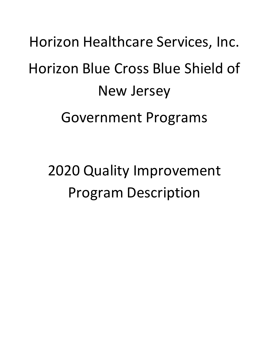Horizon Healthcare Services, Inc. Horizon Blue Cross Blue Shield of New Jersey Government Programs

2020 Quality Improvement Program Description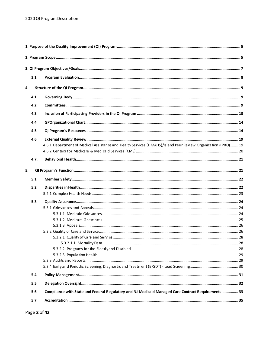|    | 3.1  |                                                                                                              |  |
|----|------|--------------------------------------------------------------------------------------------------------------|--|
| 4. |      |                                                                                                              |  |
|    | 4.1  |                                                                                                              |  |
|    | 4.2  |                                                                                                              |  |
|    | 4.3  |                                                                                                              |  |
|    | 4.4  |                                                                                                              |  |
|    | 4.5  |                                                                                                              |  |
|    | 4.6  |                                                                                                              |  |
|    |      | 4.6.1 Department of Medical Assistance and Health Services (DMAHS)/Island Peer Review Organization (IPRO) 19 |  |
|    |      |                                                                                                              |  |
|    | 4.7. |                                                                                                              |  |
|    |      |                                                                                                              |  |
| 5. |      |                                                                                                              |  |
|    | 5.1  |                                                                                                              |  |
|    | 5.2  |                                                                                                              |  |
|    |      |                                                                                                              |  |
|    |      |                                                                                                              |  |
|    | 5.3  |                                                                                                              |  |
|    |      |                                                                                                              |  |
|    |      |                                                                                                              |  |
|    |      |                                                                                                              |  |
|    |      |                                                                                                              |  |
|    |      |                                                                                                              |  |
|    |      |                                                                                                              |  |
|    |      |                                                                                                              |  |
|    |      |                                                                                                              |  |
|    |      |                                                                                                              |  |
|    |      |                                                                                                              |  |
|    |      |                                                                                                              |  |
|    | 5.4  |                                                                                                              |  |
|    | 5.5  |                                                                                                              |  |
|    | 5.6  | Compliance with State and Federal Regulatory and NJ Medicaid Managed Care Contract Requirements  33          |  |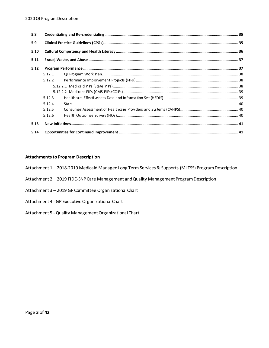| 5.8  |        |  |  |
|------|--------|--|--|
| 5.9  |        |  |  |
| 5.10 |        |  |  |
| 5.11 |        |  |  |
| 5.12 |        |  |  |
|      | 5.12.1 |  |  |
|      | 5.12.2 |  |  |
|      |        |  |  |
|      |        |  |  |
|      | 5.12.3 |  |  |
|      | 5.12.4 |  |  |
|      | 5.12.5 |  |  |
|      | 5.12.6 |  |  |
| 5.13 |        |  |  |
| 5.14 |        |  |  |

## **Attachments to Program Description**

Attachment 1 – 2018-2019 Medicaid Managed Long Term Services & Supports (MLTSS) Program Description

- Attachment 2 2019 FIDE-SNPCare Management and Quality Management Program Description
- Attachment 3 2019 GP Committee Organizational Chart
- Attachment 4 GP Executive Organizational Chart
- Attachment 5 Quality Management Organizational Chart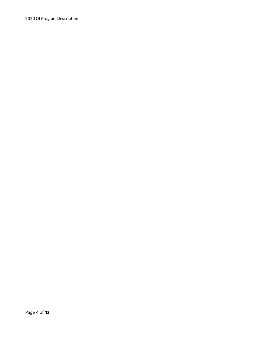2020 QI Program Description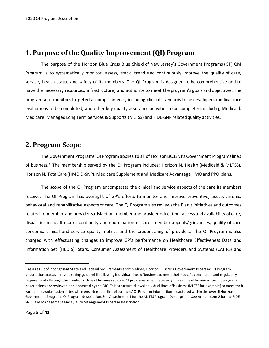# <span id="page-4-0"></span>**1. Purpose of the Quality Improvement (QI) Program**

The purpose of the Horizon Blue Cross Blue Shield of New Jersey's Government Programs (GP) QM Program is to systematically monitor, assess, track, trend and continuously improve the quality of care, service, health status and safety of its members. The QI Program is designed to be comprehensive and to have the necessary resources, infrastructure, and authority to meet the program's goals and objectives. The program also monitors targeted accomplishments, including clinical standards to be developed, medical care evaluations to be completed, and other key quality assurance activities to be completed, including Medicaid, Medicare, Managed Long Term Services & Supports (MLTSS) and FIDE-SNP related quality activities.

# <span id="page-4-1"></span>**2. Program Scope**

The Government Programs' QI Program applies to all of Horizon BCBSNJ's Government Programs lines of business.<sup>[1](#page-4-2)</sup> The membership served by the QI Program includes: Horizon NJ Health (Medicaid & MLTSS), Horizon NJ TotalCare (HMO D-SNP), Medicare Supplement and Medicare Advantage HMO and PPO plans.

The scope of the QI Program encompasses the clinical and service aspects of the care its members receive. The QI Program has oversight of GP's efforts to monitor and improve preventive, acute, chronic, behavioral and rehabilitative aspects of care. The QI Program also reviews the Plan's initiatives and outcomes related to member and provider satisfaction, member and provider education, access and availability of care, disparities in health care, continuity and coordination of care, member appeals/grievances, quality of care concerns, clinical and service quality metrics and the credentialing of providers. The QI Program is also charged with effectuating changes to improve GP's performance on Healthcare Effectiveness Data and Information Set (HEDIS), Stars, Consumer Assessment of Healthcare Providers and Systems (CAHPS) and

<span id="page-4-2"></span> $1$  As a result of incongruent State and Federal requirements and timelines, Horizon BCBSNJ's Government Programs QI Program description acts as an overarching guide while allowing individual lines of business to meet their specific contractual and regulatory requirements through the creation of line of businessspecific QI programs when necessary. These line of business specific program descriptions are reviewed and approved by the QIC. This structure allows individual lines of business (MLTSS for example) to meet their varied filing submission dates while ensuring each line of business' QI Program information is captured within the overall Horizon Government Programs QI Program description.See Attachment 1 for the MLTSS Program Description. See Attachment 2 for the FIDE-SNP Care Management and Quality Management Program Description.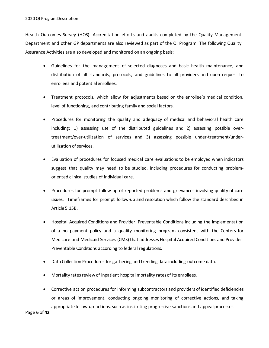Health Outcomes Survey (HOS). Accreditation efforts and audits completed by the Quality Management Department and other GP departments are also reviewed as part of the QI Program. The following Quality Assurance Activities are also developed and monitored on an ongoing basis:

- Guidelines for the management of selected diagnoses and basic health maintenance, and distribution of all standards, protocols, and guidelines to all providers and upon request to enrollees and potential enrollees.
- Treatment protocols, which allow for adjustments based on the enrollee's medical condition, level of functioning, and contributing family and social factors.
- Procedures for monitoring the quality and adequacy of medical and behavioral health care including: 1) assessing use of the distributed guidelines and 2) assessing possible overtreatment/over-utilization of services and 3) assessing possible under-treatment/underutilization of services.
- Evaluation of procedures for focused medical care evaluations to be employed when indicators suggest that quality may need to be studied, including procedures for conducting problemoriented clinical studies of individual care.
- Procedures for prompt follow-up of reported problems and grievances involving quality of care issues. Timeframes for prompt follow-up and resolution which follow the standard described in Article 5.15B.
- Hospital Acquired Conditions and Provider–Preventable Conditions including the implementation of a no payment policy and a quality monitoring program consistent with the Centers for Medicare and Medicaid Services (CMS) that addresses Hospital Acquired Conditions and Provider-Preventable Conditions according to federal regulations.
- Data Collection Procedures for gathering and trending data including outcome data.
- Mortality rates review of inpatient hospital mortality rates of its enrollees.
- Corrective action procedures for informing subcontractors and providers of identified deficiencies or areas of improvement, conducting ongoing monitoring of corrective actions, and taking appropriate follow-up actions, such as instituting progressive sanctions and appeal processes.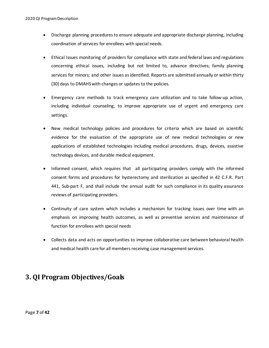- Discharge planning procedures to ensure adequate and appropriate discharge planning, including coordination of services for enrollees with special needs.
- Ethical Issues monitoring of providers for compliance with state and federal laws and regulations concerning ethical issues, including but not limited to, advance directives; family planning services for minors; and other issues as identified. Reports are submitted annually or within thirty (30) days to DMAHS with changes or updates to the policies.
- Emergency care methods to track emergency care utilization and to take follow-up action, including individual counseling, to improve appropriate use of urgent and emergency care settings.
- New medical technology policies and procedures for criteria which are based on scientific evidence for the evaluation of the appropriate use of new medical technologies or new applications of established technologies including medical procedures, drugs, devices, assistive technology devices, and durable medical equipment.
- Informed consent, which requires that all participating providers comply with the informed consent forms and procedures for hysterectomy and sterilization as specified in 42 C.F.R. Part 441, Sub-part F, and shall include the annual audit for such compliance in its quality assurance reviews of participating providers.
- Continuity of care system which includes a mechanism for tracking issues over time with an emphasis on improving health outcomes, as well as preventive services and maintenance of function for enrollees with special needs
- Collects data and acts on opportunities to improve collaborative care between behavioral health and medical health care for all members receiving case management services.

# <span id="page-6-0"></span>**3. QI Program Objectives/Goals**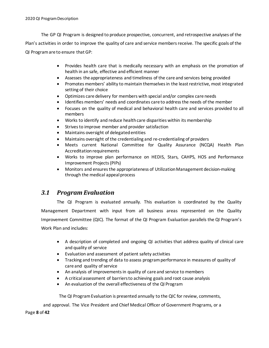The GP QI Program is designed to produce prospective, concurrent, and retrospective analyses of the Plan's activities in order to improve the quality of care and service members receive. The specific goals of the QI Program are to ensure that GP:

- Provides health care that is medically necessary with an emphasis on the promotion of health in an safe, effective and efficient manner
- Assesses the appropriateness and timeliness of the care and services being provided
- Promotes members' ability to maintain themselves in the least restrictive, most integrated setting of their choice
- Optimizes care delivery for members with special and/or complex care needs
- Identifies members' needs and coordinates care to address the needs of the member
- Focuses on the quality of medical and behavioral health care and services provided to all members
- Works to identify and reduce health care disparities within its membership
- Strives to improve member and provider satisfaction
- Maintains oversight of delegated entities
- Maintains oversight of the credentialing and re-credentialing of providers
- Meets current National Committee for Quality Assurance (NCQA) Health Plan Accreditation requirements
- Works to improve plan performance on HEDIS, Stars, CAHPS, HOS and Performance Improvement Projects (PIPs)
- Monitors and ensures the appropriateness of Utilization Management decision-making through the medical appeal process

# <span id="page-7-0"></span>*3.1 Program Evaluation*

The QI Program is evaluated annually. This evaluation is coordinated by the Quality Management Department with input from all business areas represented on the Quality Improvement Committee (QIC). The format of the QI Program Evaluation parallels the QI Program's Work Plan and includes:

- A description of completed and ongoing QI activities that address quality of clinical care and quality of service
- Evaluation and assessment of patient safety activities
- Tracking and trending of data to assess program performance in measures of quality of care and quality of service
- An analysis of improvements in quality of care and service to members
- A critical assessment of barriers to achieving goals and root cause analysis
- An evaluation of the overall effectiveness of the QI Program

The QI Program Evaluation is presented annually to the QIC for review, comments,

and approval. The Vice President and Chief Medical Officer of Government Programs, or a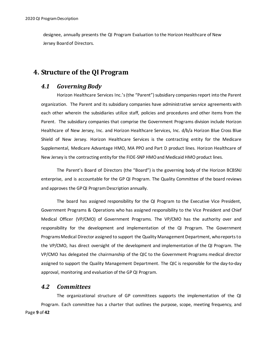designee, annually presents the QI Program Evaluation to the Horizon Healthcare of New Jersey Board of Directors.

# <span id="page-8-1"></span><span id="page-8-0"></span>**4. Structure of the QI Program**

## *4.1 Governing Body*

Horizon Healthcare Services Inc.'s (the "Parent") subsidiary companies report into the Parent organization. The Parent and its subsidiary companies have administrative service agreements with each other wherein the subsidiaries utilize staff, policies and procedures and other items from the Parent. The subsidiary companies that comprise the Government Programs division include Horizon Healthcare of New Jersey, Inc. and Horizon Healthcare Services, Inc. d/b/a Horizon Blue Cross Blue Shield of New Jersey. Horizon Healthcare Services is the contracting entity for the Medicare Supplemental, Medicare Advantage HMO, MA PPO and Part D product lines. Horizon Healthcare of New Jersey is the contracting entity for the FIDE-SNP HMO and Medicaid HMO product lines.

The Parent's Board of Directors (the "Board") is the governing body of the Horizon BCBSNJ enterprise, and is accountable for the GP QI Program. The Quality Committee of the board reviews and approves the GPQI Program Description annually.

The board has assigned responsibility for the QI Program to the Executive Vice President, Government Programs & Operations who has assigned responsibility to the Vice President and Chief Medical Officer (VP/CMO) of Government Programs. The VP/CMO has the authority over and responsibility for the development and implementation of the QI Program. The Government Programs Medical Director assigned to support the Quality Management Department, who reports to the VP/CMO, has direct oversight of the development and implementation of the QI Program. The VP/CMO has delegated the chairmanship of the QIC to the Government Programs medical director assigned to support the Quality Management Department. The QIC is responsible for the day-to-day approval, monitoring and evaluation of the GP QI Program.

## *4.2 Committees*

<span id="page-8-2"></span>Page **9** of **42** The organizational structure of GP committees supports the implementation of the QI Program. Each committee has a charter that outlines the purpose, scope, meeting frequency, and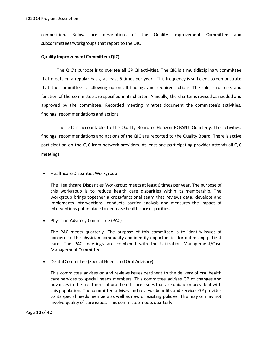composition. Below are descriptions of the Quality Improvement Committee and subcommittees/workgroups that report to the QIC.

### **Quality Improvement Committee (QIC)**

The QIC's purpose is to oversee all GP QI activities. The QIC is a multidisciplinary committee that meets on a regular basis, at least 6 times per year. This frequency is sufficient to demonstrate that the committee is following up on all findings and required actions. The role, structure, and function of the committee are specified in its charter. Annually, the charter is revised as needed and approved by the committee. Recorded meeting minutes document the committee's activities, findings, recommendations and actions.

The QIC is accountable to the Quality Board of Horizon BCBSNJ. Quarterly, the activities, findings, recommendations and actions of the QIC are reported to the Quality Board. There is active participation on the QIC from network providers. At least one participating provider attends all QIC meetings.

• Healthcare Disparities Workgroup

The Healthcare Disparities Workgroup meets at least 6 times per year. The purpose of this workgroup is to reduce health care disparities within its membership. The workgroup brings together a cross-functional team that reviews data, develops and implements interventions, conducts barrier analysis and measures the impact of interventions put in place to decrease health care disparities.

• Physician Advisory Committee (PAC)

The PAC meets quarterly. The purpose of this committee is to identify issues of concern to the physician community and identify opportunities for optimizing patient care. The PAC meetings are combined with the Utilization Management/Case Management Committee.

• Dental Committee (Special Needs and Oral Advisory)

This committee advises on and reviews issues pertinent to the delivery of oral health care services to special needs members. This committee advises GP of changes and advances in the treatment of oral health care issues that are unique or prevalent with this population. The committee advises and reviews benefits and services GP provides to its special needs members as well as new or existing policies. This may or may not involve quality of care issues. This committee meets quarterly.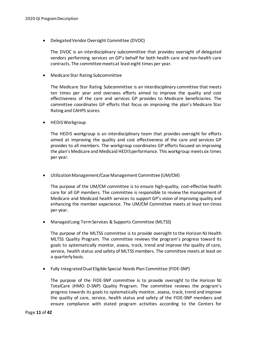• Delegated Vendor Oversight Committee (DVOC)

The DVOC is an interdisciplinary subcommittee that provides oversight of delegated vendors performing services on GP's behalf for both health care and non-health care contracts. The committee meets at least eight times per year.

• Medicare Star Rating Subcommittee

The Medicare Star Rating Subcommittee is an interdisciplinary committee that meets ten times per year and oversees efforts aimed to improve the quality and cost effectiveness of the care and services GP provides to Medicare beneficiaries. The committee coordinates GP efforts that focus on improving the plan's Medicare Star Rating and CAHPS scores.

• HEDIS Workgroup

The HEDIS workgroup is an interdisciplinary team that provides oversight for efforts aimed at improving the quality and cost effectiveness of the care and services GP provides to all members. The workgroup coordinates GP efforts focused on improving the plan's Medicare and Medicaid HEDIS performance. This workgroup meets six times per year.

• Utilization Management/Case Management Committee (UM/CM)

The purpose of the UM/CM committee is to ensure high-quality, cost-effective health care for all GP members. The committee is responsible to review the management of Medicare and Medicaid health services to support GP's vision of improving quality and enhancing the member experience. The UM/CM Committee meets at least ten times per year.

• Managed Long Term Services & Supports Committee (MLTSS)

The purpose of the MLTSS committee is to provide oversight to the Horizon NJ Health MLTSS Quality Program. The committee reviews the program's progress toward its goals to systematically monitor, assess, track, trend and improve the quality of care, service, health status and safety of MLTSS members. The committee meets at least on a quarterly basis.

• Fully Integrated Dual Eligible Special Needs Plan Committee (FIDE-SNP)

The purpose of the FIDE-SNP committee is to provide oversight to the Horizon NJ TotalCare (HMO D-SNP) Quality Program. The committee reviews the program's progress towards its goals to systematically monitor, assess, track, trend and improve the quality of care, service, health status and safety of the FIDE-SNP members and ensure compliance with stated program activities according to the Centers for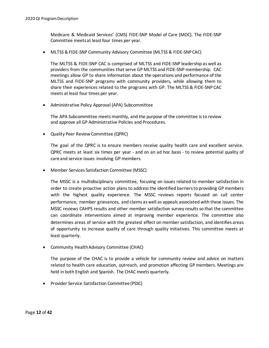Medicare & Medicaid Services' (CMS) FIDE-SNP Model of Care (MOC). The FIDE-SNP Committee meets at least four times per year.

• MLTSS & FIDE-SNP Community Advisory Committee (MLTSS & FIDE-SNP CAC)

The MLTSS & FIDE-SNP CAC is comprised of MLTSS and FIDE-SNP leadership as well as providers from the communities that serve GP MLTSS and FIDE-SNP membership. CAC meetings allow GP to share information about the operations and performance of the MLTSS and FIDE-SNP programs with community providers, while allowing them to share their experiences related to the programs with GP. The MLTSS & FIDE-SNP CAC meets at least four times per year.

• Administrative Policy Approval (APA) Subcommittee

The APA Subcommittee meets monthly, and the purpose of the committee is to review and approve all GP Administrative Policies and Procedures.

• Quality Peer Review Committee (QPRC)

The goal of the QPRC is to ensure members receive quality health care and excellent service. QPRC meets at least six times per year - and on an ad hoc basis - to review potential quality of care and service issues involving GP members.

• Member Services Satisfaction Committee (MSSC)

The MSSC is a multidisciplinary committee, focusing on issues related to member satisfaction in order to create proactive action plans to address the identified barriers to providing GP members with the highest quality experience. The MSSC reviews reports focused on call center performance, member grievances, and claims as well as appeals associated with these issues. The MSSC reviews CAHPS results and other member satisfaction survey results so that the committee can coordinate interventions aimed at improving member experience. The committee also determines areas of service with the greatest effect on member satisfaction, and identifies areas of opportunity to increase quality of care through quality initiatives. This committee meets at least quarterly.

• Community Health Advisory Committee (CHAC)

The purpose of the CHAC is to provide a vehicle for community review and advice on matters related to health care education, outreach, and promotion affecting GP members. Meetings are held in both English and Spanish. The CHAC meets quarterly.

• Provider Service Satisfaction Committee (PSSC)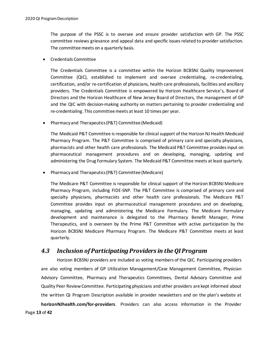The purpose of the PSSC is to oversee and ensure provider satisfaction with GP. The PSSC committee reviews grievance and appeal data and specific issues related to provider satisfaction. The committee meets on a quarterly basis.

• Credentials Committee

The Credentials Committee is a committee within the Horizon BCBSNJ Quality Improvement Committee (QIC), established to implement and oversee credentialing, re-credentialing, certification, and/or re-certification of physicians, health care professionals, facilities and ancillary providers. The Credentials Committee is empowered by Horizon Healthcare Service's, Board of Directors and the Horizon Healthcare of New Jersey Board of Directors, the management of GP and the QIC with decision-making authority on matters pertaining to provider credentialing and re-credentialing. This committee meets at least 10 times per year.

• Pharmacy and Therapeutics (P&T) Committee (Medicaid)

The Medicaid P&T Committee is responsible for clinical support of the Horizon NJ Health Medicaid Pharmacy Program. The P&T Committee is comprised of primary care and specialty physicians, pharmacists and other health care professionals. The Medicaid P&T Committee provides input on pharmaceutical management procedures and on developing, managing, updating and administering the Drug Formulary System. The Medicaid P&T Committee meets at least quarterly.

• Pharmacy and Therapeutics (P&T) Committee (Medicare)

The Medicare P&T Committee is responsible for clinical support of the Horizon BCBSNJ Medicare Pharmacy Program, including FIDE-SNP. The P&T Committee is comprised of primary care and specialty physicians, pharmacists and other health care professionals. The Medicare P&T Committee provides input on pharmaceutical management procedures and on developing, managing, updating and administering the Medicare Formulary. The Medicare Formulary development and maintenance is delegated to the Pharmacy Benefit Manager, Prime Therapeutics, and is overseen by the Prime P&T Committee with active participation by the Horizon BCBSNJ Medicare Pharmacy Program. The Medicare P&T Committee meets at least quarterly.

# *4.3 Inclusion of Participating Providers in the QI Program*

<span id="page-12-0"></span>Page **13** of **42** Horizon BCBSNJ providers are included as voting members of the QIC. Participating providers are also voting members of GP Utilization Management/Case Management Committee, Physician Advisory Committee, Pharmacy and Therapeutics Committees, Dental Advisory Committee and Quality Peer Review Committee. Participating physicians and other providers are kept informed about the written QI Program Description available in provider newsletters and on the plan's website at **horizonNJhealth.com/for-providers**. Providers can also access information in the Provider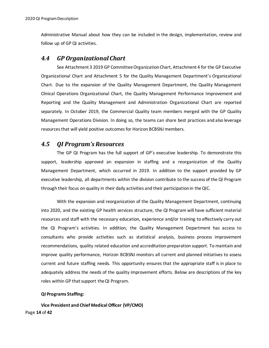Administrative Manual about how they can be included in the design, implementation, review and follow up of GP QI activities.

## <span id="page-13-0"></span>*4.4 GP Organizational Chart*

See Attachment 3 2019 GP Committee Organization Chart, Attachment 4 for the GP Executive Organizational Chart and Attachment 5 for the Quality Management Department's Organizational Chart. Due to the expansion of the Quality Management Department, the Quality Management Clinical Operations Organizational Chart, the Quality Management Performance Improvement and Reporting and the Quality Management and Administration Organizational Chart are reported separately. In October 2019, the Commercial Quality team members merged with the GP Quality Management Operations Division. In doing so, the teams can share best practices and also leverage resources that will yield positive outcomes for Horizon BCBSNJ members.

## <span id="page-13-1"></span>*4.5 QI Program's Resources*

The GP QI Program has the full support of GP's executive leadership. To demonstrate this support, leadership approved an expansion in staffing and a reorganization of the Quality Management Department, which occurred in 2019. In addition to the support provided by GP executive leadership, all departments within the division contribute to the success of the QI Program through their focus on quality in their daily activities and their participation in the QIC.

With the expansion and reorganization of the Quality Management Department, continuing into 2020, and the existing GP health services structure, the QI Program will have sufficient material resources and staff with the necessary education, experience and/or training to effectively carry out the QI Program's activities. In addition, the Quality Management Department has access to consultants who provide activities such as statistical analysis, business process improvement recommendations, quality related education and accreditation preparation support. To maintain and improve quality performance, Horizon BCBSNJ monitors all current and planned initiatives to assess current and future staffing needs. This opportunity ensures that the appropriate staff is in place to adequately address the needs of the quality improvement efforts. Below are descriptions of the key roles within GP that support the QI Program.

#### **QI Programs Staffing:**

Page **14** of **42 Vice President and Chief Medical Officer (VP/CMO)**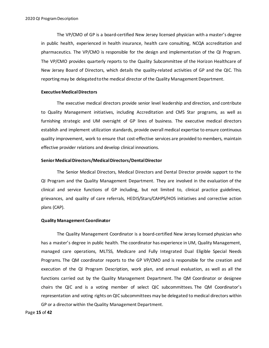The VP/CMO of GP is a board-certified New Jersey licensed physician with a master's degree in public health, experienced in health insurance, health care consulting, NCQA accreditation and pharmaceutics. The VP/CMO is responsible for the design and implementation of the QI Program. The VP/CMO provides quarterly reports to the Quality Subcommittee of the Horizon Healthcare of New Jersey Board of Directors, which details the quality-related activities of GP and the QIC. This reporting may be delegated to the medical director of the Quality Management Department.

#### **Executive Medical Directors**

The executive medical directors provide senior level leadership and direction, and contribute to Quality Management initiatives, including Accreditation and CMS Star programs, as well as furnishing strategic and UM oversight of GP lines of business. The executive medical directors establish and implement utilization standards, provide overall medical expertise to ensure continuous quality improvement, work to ensure that cost-effective services are provided to members, maintain effective provider relations and develop clinical innovations.

#### **Senior Medical Directors/Medical Directors/Dental Director**

The Senior Medical Directors, Medical Directors and Dental Director provide support to the QI Program and the Quality Management Department. They are involved in the evaluation of the clinical and service functions of GP including, but not limited to, clinical practice guidelines, grievances, and quality of care referrals, HEDIS/Stars/CAHPS/HOS initiatives and corrective action plans (CAP).

#### **Quality Management Coordinator**

The Quality Management Coordinator is a board-certified New Jersey licensed physician who has a master's degree in public health. The coordinator has experience in UM, Quality Management, managed care operations, MLTSS, Medicare and Fully Integrated Dual Eligible Special Needs Programs. The QM coordinator reports to the GP VP/CMO and is responsible for the creation and execution of the QI Program Description, work plan, and annual evaluation, as well as all the functions carried out by the Quality Management Department. The QM Coordinator or designee chairs the QIC and is a voting member of select QIC subcommittees. The QM Coordinator's representation and voting rights on QIC subcommittees may be delegated to medical directors within GP or a director within the Quality Management Department.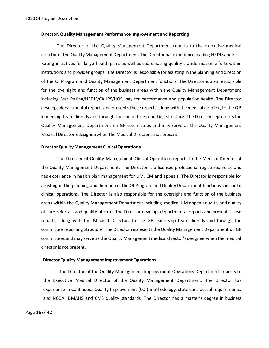#### **Director, Quality Management Performance Improvement and Reporting**

The Director of the Quality Management Department reports to the executive medical director of the Quality Management Department. The Director has experience leading HEDIS and Star Rating initiatives for large health plans as well as coordinating quality transformation efforts within institutions and provider groups. The Director is responsible for assisting in the planning and direction of the QI Program and Quality Management Department functions. The Director is also responsible for the oversight and function of the business areas within the Quality Management Department including Star Rating/HEDIS/CAHPS/HOS, pay for performance and population health. The Director develops departmental reports and presents these reports, along with the medical director, to the GP leadership team directly and through the committee reporting structure. The Director represents the Quality Management Department on GP committees and may serve as the Quality Management Medical Director's designee when the Medical Director is not present.

#### **Director Quality Management Clinical Operations**

The Director of Quality Management Clinical Operations reports to the Medical Director of the Quality Management Department. The Director is a licensed professional registered nurse and has experience in health plan management for UM, CM and appeals. The Director is responsible for assisting in the planning and direction of the QI Program and Quality Department functions specific to clinical operations. The Director is also responsible for the oversight and function of the business areas within the Quality Management Department including medical UM appeals audits, and quality of care referrals and quality of care. The Director develops departmental reports and presents these reports, along with the Medical Director, to the GP leadership team directly and through the committee reporting structure. The Director represents the Quality Management Department on GP committees and may serve as the Quality Management medical director's designee when the medical director is not present.

### **Director Quality Management Improvement Operations**

The Director of the Quality Management Improvement Operations Department reports to the Executive Medical Director of the Quality Management Department. The Director has experience in Continuous Quality Improvement (CQI) methodology, state contractual requirements, and NCQA, DMAHS and CMS quality standards. The Director has a master's degree in business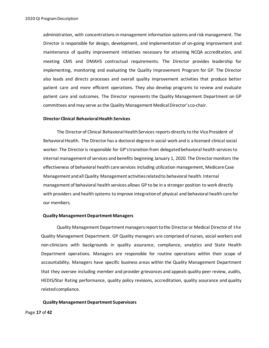administration, with concentrations in management information systems and risk management. The Director is responsible for design, development, and implementation of on-going improvement and maintenance of quality improvement initiatives necessary for attaining NCQA accreditation, and meeting CMS and DMAHS contractual requirements. The Director provides leadership for implementing, monitoring and evaluating the Quality Improvement Program for GP. The Director also leads and directs processes and overall quality improvement activities that produce better patient care and more efficient operations. They also develop programs to review and evaluate patient care and outcomes. The Director represents the Quality Management Department on GP committees and may serve as the Quality Management Medical Director's co-chair.

### **Director Clinical Behavioral Health Services**

The Director of Clinical Behavioral Health Services reports directly to the Vice President of Behavioral Health. The Director has a doctoral degree in social work and is a licensed clinical social worker. The Director is responsible for GP'stransition from delegated behavioral health services to internal management of services and benefits beginning January 1, 2020. The Director monitors the effectiveness of behavioral health care services including utilization management, Medicare Case Management and all Quality Management activities related to behavioral health. Internal management of behavioral health services allows GP to be in a stronger position to work directly with providers and health systems to improve integration of physical and behavioral health care for our members.

#### **Quality Management Department Managers**

Quality Management Department managers report to the Director or Medical Director of the Quality Management Department. GP Quality managers are comprised of nurses, social workers and non-clinicians with backgrounds in quality assurance, compliance, analytics and State Health Department operations. Managers are responsible for routine operations within their scope of accountability. Managers have specific business areas within the Quality Management Department that they oversee including member and provider grievances and appeals quality peer review, audits, HEDIS/Star Rating performance, quality policy revisions, accreditation, quality assurance and quality related compliance.

#### **Quality Management Department Supervisors**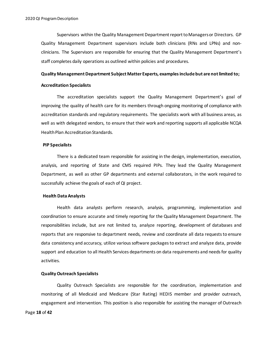Supervisors within the Quality Management Department report to Managers or Directors. GP Quality Management Department supervisors include both clinicians (RNs and LPNs) and nonclinicians. The Supervisors are responsible for ensuring that the Quality Management Department's staff completes daily operations as outlined within policies and procedures.

#### **Quality Management Department Subject Matter Experts, examples include but are not limited to;**

### **Accreditation Specialists**

The accreditation specialists support the Quality Management Department's goal of improving the quality of health care for its members through ongoing monitoring of compliance with accreditation standards and regulatory requirements. The specialists work with all business areas, as well as with delegated vendors, to ensure that their work and reporting supports all applicable NCQA Health Plan Accreditation Standards.

#### **PIP Specialists**

There is a dedicated team responsible for assisting in the design, implementation, execution, analysis, and reporting of State and CMS required PIPs. They lead the Quality Management Department, as well as other GP departments and external collaborators, in the work required to successfully achieve the goals of each of QI project.

### **Health Data Analysts**

Health data analysts perform research, analysis, programming, implementation and coordination to ensure accurate and timely reporting for the Quality Management Department. The responsibilities include, but are not limited to, analyze reporting, development of databases and reports that are responsive to department needs, review and coordinate all data requests to ensure data consistency and accuracy, utilize various software packages to extract and analyze data, provide support and education to all Health Services departments on data requirements and needs for quality activities.

### **Quality Outreach Specialists**

Quality Outreach Specialists are responsible for the coordination, implementation and monitoring of all Medicaid and Medicare (Star Rating) HEDIS member and provider outreach, engagement and intervention. This position is also responsible for assisting the manager of Outreach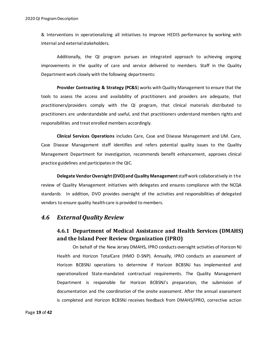& Interventions in operationalizing all initiatives to improve HEDIS performance by working with internal and external stakeholders.

Additionally, the QI program pursues an integrated approach to achieving ongoing improvements in the quality of care and service delivered to members. Staff in the Quality Department work closely with the following departments:

**Provider Contracting & Strategy (PC&S**) works with Quality Management to ensure that the tools to assess the access and availability of practitioners and providers are adequate, that practitioners/providers comply with the QI program, that clinical materials distributed to practitioners are understandable and useful, and that practitioners understand members rights and responsibilities and treat enrolled members accordingly.

**Clinical Services Operations** includes Care, Case and Disease Management and UM. Care, Case Disease Management staff identifies and refers potential quality issues to the Quality Management Department for investigation, recommends benefit enhancement, approves clinical practice guidelines and participates in the QIC.

**Delegate Vendor Oversight (DVO) and Quality Management** staff work collaboratively in the review of Quality Management initiatives with delegates and ensures compliance with the NCQA standards. In addition, DVO provides oversight of the activities and responsibilities of delegated vendors to ensure quality health care is provided to members.

## <span id="page-18-1"></span><span id="page-18-0"></span>*4.6 External Quality Review*

## **4.6.1 Department of Medical Assistance and Health Services (DMAHS) and the Island Peer Review Organization (IPRO)**

On behalf of the New Jersey DMAHS, IPRO conducts oversight activities of Horizon NJ Health and Horizon TotalCare (HMO D-SNP). Annually, IPRO conducts an assessment of Horizon BCBSNJ operations to determine if Horizon BCBSNJ has implemented and operationalized State-mandated contractual requirements. The Quality Management Department is responsible for Horizon BCBSNJ's preparation, the submission of documentation and the coordination of the onsite assessment. After the annual assessment is completed and Horizon BCBSNJ receives feedback from DMAHS/IPRO, corrective action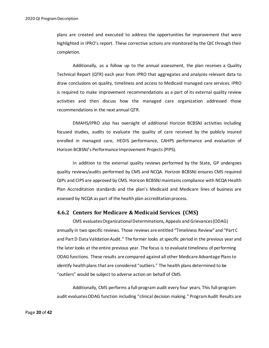plans are created and executed to address the opportunities for improvement that were highlighted in IPRO's report. These corrective actions are monitored by the QIC through their completion.

Additionally, as a follow up to the annual assessment, the plan receives a Quality Technical Report (QTR) each year from IPRO that aggregates and analyzes relevant data to draw conclusions on quality, timeliness and access to Medicaid managed care services. IPRO is required to make improvement recommendations as a part of its external quality review activities and then discuss how the managed care organization addressed those recommendations in the next annual QTR.

DMAHS/IPRO also has oversight of additional Horizon BCBSNJ activities including focused studies, audits to evaluate the quality of care received by the publicly insured enrolled in managed care, HEDIS performance, CAHPS performance and evaluation of Horizon BCBSNJ's Performance Improvement Projects (PIPS).

In addition to the external quality reviews performed by the State, GP undergoes quality reviews/audits performed by CMS and NCQA. Horizon BCBSNJ ensures CMS required QIPs and CIPS are approved by CMS. Horizon BCBSNJ maintains compliance with NCQA Health Plan Accreditation standards and the plan's Medicaid and Medicare lines of business are assessed by NCQA as part of the health plan accreditation process.

### <span id="page-19-0"></span>**4.6.2 Centers for Medicare & Medicaid Services (CMS)**

CMS evaluates Organizational Determinations, Appeals and Grievances (ODAG) annually in two specific reviews. Those reviews are entitled "Timeliness Review" and "Part C and Part D Data Validation Audit." The former looks atspecific period in the previous year and the later looks at the entire previous year. The focus is to evaluate timeliness of performing ODAG functions. These results are compared against all other Medicare Advantage Plans to identify health plans that are considered "outliers." The health plans determined to be "outliers" would be subject to adverse action on behalf of CMS.

Additionally, CMS performs a full-program audit every four years. This full-program audit evaluates ODAG function including "clinical decision making." Program Audit Results are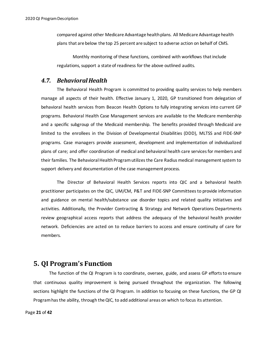compared against other Medicare Advantage health plans. All Medicare Advantage health plans that are below the top 25 percent are subject to adverse action on behalf of CMS.

Monthly monitoring of these functions, combined with workflows that include regulations, support a state of readiness for the above outlined audits.

## <span id="page-20-0"></span>*4.7. Behavioral Health*

The Behavioral Health Program is committed to providing quality services to help members manage all aspects of their health. Effective January 1, 2020, GP transitioned from delegation of behavioral health services from Beacon Health Options to fully integrating services into current GP programs. Behavioral Health Case Management services are available to the Medicare membership and a specific subgroup of the Medicaid membership. The benefits provided through Medicaid are limited to the enrollees in the Division of Developmental Disabilities (DDD), MLTSS and FIDE-SNP programs. Case managers provide assessment, development and implementation of individualized plans of care; and offer coordination of medical and behavioral health care services for members and their families. The Behavioral Health Program utilizes the Care Radius medical management system to support delivery and documentation of the case management process.

The Director of Behavioral Health Services reports into QIC and a behavioral health practitioner participates on the QIC, UM/CM, P&T and FIDE-SNP Committees to provide information and guidance on mental health/substance use disorder topics and related quality initiatives and activities. Additionally, the Provider Contracting & Strategy and Network Operations Departments review geographical access reports that address the adequacy of the behavioral health provider network. Deficiencies are acted on to reduce barriers to access and ensure continuity of care for members.

# <span id="page-20-1"></span>**5. QI Program's Function**

The function of the QI Program is to coordinate, oversee, guide, and assess GP efforts to ensure that continuous quality improvement is being pursued throughout the organization. The following sections highlight the functions of the QI Program. In addition to focusing on these functions, the GP QI Program has the ability, through the QIC, to add additional areas on which to focus its attention.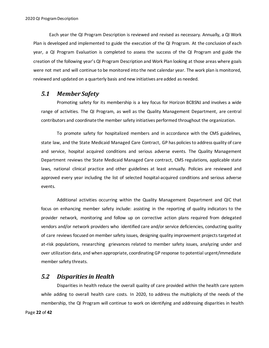Each year the QI Program Description is reviewed and revised as necessary. Annually, a QI Work Plan is developed and implemented to guide the execution of the QI Program. At the conclusion of each year, a QI Program Evaluation is completed to assess the success of the QI Program and guide the creation of the following year's QI Program Description and Work Plan looking at those areas where goals were not met and will continue to be monitored into the next calendar year. The work plan is monitored, reviewed and updated on a quarterly basis and new initiatives are added as needed.

## <span id="page-21-0"></span>*5.1 Member Safety*

Promoting safety for its membership is a key focus for Horizon BCBSNJ and involves a wide range of activities. The QI Program, as well as the Quality Management Department, are central contributors and coordinate the member safety initiatives performed throughout the organization.

To promote safety for hospitalized members and in accordance with the CMS guidelines, state law, and the State Medicaid Managed Care Contract, GP has policies to address quality of care and service, hospital acquired conditions and serious adverse events. The Quality Management Department reviews the State Medicaid Managed Care contract, CMS regulations, applicable state laws, national clinical practice and other guidelines at least annually. Policies are reviewed and approved every year including the list of selected hospital-acquired conditions and serious adverse events.

Additional activities occurring within the Quality Management Department and QIC that focus on enhancing member safety include: assisting in the reporting of quality indicators to the provider network, monitoring and follow up on corrective action plans required from delegated vendors and/or network providers who identified care and/or service deficiencies, conducting quality of care reviews focused on member safety issues, designing quality improvement projects targeted at at-risk populations, researching grievances related to member safety issues, analyzing under and over utilization data, and when appropriate, coordinating GP response to potential urgent/immediate member safety threats.

## <span id="page-21-1"></span>*5.2 Disparities in Health*

Disparities in health reduce the overall quality of care provided within the health care system while adding to overall health care costs. In 2020, to address the multiplicity of the needs of the membership, the QI Program will continue to work on identifying and addressing disparities in health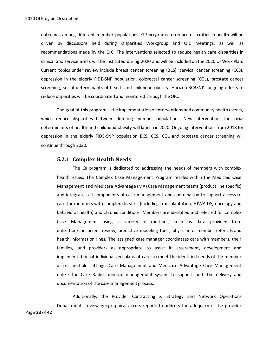outcomes among different member populations. GP programs to reduce disparities in health will be driven by discussions held during Disparities Workgroup and QIC meetings, as well as recommendations made by the QIC. The interventions selected to reduce health care disparities in clinical and service areas will be instituted during 2020 and will be included on the 2020 QI Work Plan. Current topics under review include breast cancer screening (BCS), cervical cancer screening (CCS), depression in the elderly FIDE-SNP population, colorectal cancer screening (COL), prostate cancer screening, social determinants of health and childhood obesity. Horizon BCBSNJ's ongoing efforts to reduce disparities will be coordinated and monitored through the QIC.

The goal of this program is the implementation of interventions and community health events, which reduce disparities between differing member populations. New interventions for social determinants of health and childhood obesity will launch in 2020. Ongoing interventions from 2018 for depression in the elderly FIDE-SNP population BCS, CCS, COL and prostate cancer screening will continue through 2020.

## <span id="page-22-0"></span>**5.2.1 Complex Health Needs**

The QI program is dedicated to addressing the needs of members with complex health issues. The Complex Case Management Program resides within the Medicaid Case Management and Medicare Advantage (MA) Care Management teams (product line specific) and integrates all components of case management and coordination to support access to care for members with complex diseases (including transplantation, HIV/AIDS, oncology and behavioral health) and chronic conditions. Members are identified and referred for Complex Case Management using a variety of methods, such as data provided from utilization/concurrent review, predictive modeling tools, physician or member referrals and health information lines. The assigned case manager coordinates care with members, their families, and providers as appropriate to assist in assessment, development and implementation of individualized plans of care to meet the identified needs of the member across multiple settings. Case Management and Medicare Advantage Care Management utilize the Care Radius medical management system to support both the delivery and documentation of the case management process.

Additionally, the Provider Contracting & Strategy and Network Operations Departments review geographical access reports to address the adequacy of the provider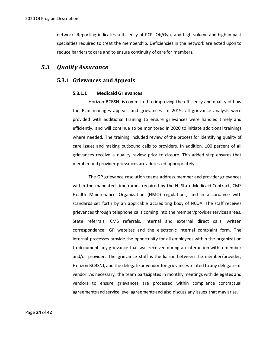network. Reporting indicates sufficiency of PCP, Ob/Gyn, and high volume and high impact specialties required to treat the membership. Deficiencies in the network are acted upon to reduce barriers to care and to ensure continuity of care for members.

# <span id="page-23-2"></span><span id="page-23-1"></span><span id="page-23-0"></span>*5.3 Quality Assurance*

### **5.3.1 Grievances and Appeals**

#### **5.3.1.1 Medicaid Grievances**

Horizon BCBSNJ is committed to improving the efficiency and quality of how the Plan manages appeals and grievances. In 2019, all grievance analysts were provided with additional training to ensure grievances were handled timely and efficiently, and will continue to be monitored in 2020 to initiate additional trainings where needed. The training included review of the process for identifying quality of care issues and making outbound calls to providers. In addition, 100 percent of all grievances receive a quality review prior to closure. This added step ensures that member and provider grievances are addressed appropriately.

The GP grievance resolution teams address member and provider grievances within the mandated timeframes required by the NJ State Medicaid Contract, CMS Health Maintenance Organization (HMO) regulations, and in accordance with standards set forth by an applicable accrediting body of NCQA. The staff receives grievances through telephone calls coming into the member/provider services areas, State referrals, CMS referrals, internal and external direct calls, written correspondence, GP websites and the electronic internal complaint form. The internal processes provide the opportunity for all employees within the organization to document any grievance that was received during an interaction with a member and/or provider. The grievance staff is the liaison between the member/provider, Horizon BCBSNJ, and the delegate or vendor for grievances related to any delegate or vendor. As necessary, the team participates in monthly meetings with delegates and vendors to ensure grievances are processed within compliance contractual agreements and service level agreements and also discuss any issues that may arise.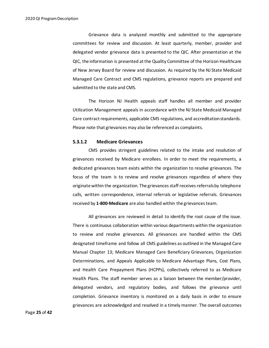Grievance data is analyzed monthly and submitted to the appropriate committees for review and discussion. At least quarterly, member, provider and delegated vendor grievance data is presented to the QIC. After presentation at the QIC, the information is presented at the Quality Committee of the Horizon Healthcare of New Jersey Board for review and discussion. As required by the NJ State Medicaid Managed Care Contract and CMS regulations, grievance reports are prepared and submitted to the state and CMS.

The Horizon NJ Health appeals staff handles all member and provider Utilization Management appeals in accordance with the NJ State Medicaid Managed Care contract requirements, applicable CMS regulations, and accreditation standards. Please note that grievances may also be referenced as complaints.

### <span id="page-24-0"></span>**5.3.1.2 Medicare Grievances**

CMS provides stringent guidelines related to the intake and resolution of grievances received by Medicare enrollees. In order to meet the requirements, a dedicated grievances team exists within the organization to resolve grievances. The focus of the team is to review and resolve grievances regardless of where they originate within the organization. The grievances staff receives referrals by telephone calls, written correspondence, internal referrals or legislative referrals. Grievances received by **1-800-Medicare** are also handled within the grievances team.

All grievances are reviewed in detail to identify the root cause of the issue. There is continuous collaboration within various departments within the organization to review and resolve grievances. All grievances are handled within the CMS designated timeframe and follow all CMS guidelines as outlined in the Managed Care Manual Chapter 13; Medicare Managed Care Beneficiary Grievances, Organization Determinations, and Appeals Applicable to Medicare Advantage Plans, Cost Plans, and Health Care Prepayment Plans (HCPPs), collectively referred to as Medicare Health Plans. The staff member serves as a liaison between the member/provider, delegated vendors, and regulatory bodies, and follows the grievance until completion. Grievance inventory is monitored on a daily basis in order to ensure grievances are acknowledged and resolved in a timely manner. The overall outcomes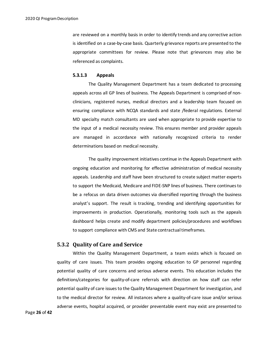are reviewed on a monthly basis in order to identify trends and any corrective action is identified on a case-by-case basis. Quarterly grievance reports are presented to the appropriate committees for review. Please note that grievances may also be referenced as complaints.

#### <span id="page-25-0"></span>**5.3.1.3 Appeals**

The Quality Management Department has a team dedicated to processing appeals across all GP lines of business. The Appeals Department is comprised of nonclinicians, registered nurses, medical directors and a leadership team focused on ensuring compliance with NCQA standards and state /federal regulations. External MD specialty match consultants are used when appropriate to provide expertise to the input of a medical necessity review. This ensures member and provider appeals are managed in accordance with nationally recognized criteria to render determinations based on medical necessity.

The quality improvement initiatives continue in the Appeals Department with ongoing education and monitoring for effective administration of medical necessity appeals. Leadership and staff have been structured to create subject matter experts to support the Medicaid, Medicare and FIDE-SNP lines of business. There continues to be a refocus on data driven outcomes via diversified reporting through the business analyst's support. The result is tracking, trending and identifying opportunities for improvements in production. Operationally, monitoring tools such as the appeals dashboard helps create and modify department policies/procedures and workflows to support compliance with CMS and State contractual timeframes.

## <span id="page-25-1"></span>**5.3.2 Quality of Care and Service**

Within the Quality Management Department, a team exists which is focused on quality of care issues. This team provides ongoing education to GP personnel regarding potential quality of care concerns and serious adverse events. This education includes the definitions/categories for quality-of-care referrals with direction on how staff can refer potential quality of care issues to the Quality Management Department for investigation, and to the medical director for review. All instances where a quality-of-care issue and/or serious adverse events, hospital acquired, or provider preventable event may exist are presented to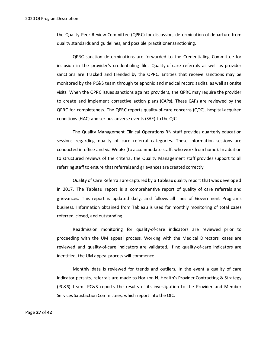the Quality Peer Review Committee (QPRC) for discussion, determination of departure from quality standards and guidelines, and possible practitioner sanctioning.

QPRC sanction determinations are forwarded to the Credentialing Committee for inclusion in the provider's credentialing file. Quality-of-care referrals as well as provider sanctions are tracked and trended by the QPRC. Entities that receive sanctions may be monitored by the PC&S team through telephonic and medical record audits, as well as onsite visits. When the QPRC issues sanctions against providers, the QPRC may require the provider to create and implement corrective action plans (CAPs). These CAPs are reviewed by the QPRC for completeness. The QPRC reports quality-of-care concerns (QOC), hospital-acquired conditions (HAC) and serious adverse events (SAE) to the QIC.

The Quality Management Clinical Operations RN staff provides quarterly education sessions regarding quality of care referral categories. These information sessions are conducted in office and via WebEx (to accommodate staffs who work from home). In addition to structured reviews of the criteria, the Quality Management staff provides support to all referring staff to ensure that referrals and grievances are created correctly.

Quality of Care Referralsare captured by a Tableau quality report that was developed in 2017. The Tableau report is a comprehensive report of quality of care referrals and grievances. This report is updated daily, and follows all lines of Government Programs business. Information obtained from Tableau is used for monthly monitoring of total cases referred, closed, and outstanding.

Readmission monitoring for quality-of-care indicators are reviewed prior to proceeding with the UM appeal process. Working with the Medical Directors, cases are reviewed and quality-of-care indicators are validated. If no quality-of-care indicators are identified, the UM appeal process will commence.

Monthly data is reviewed for trends and outliers. In the event a quality of care indicator persists, referrals are made to Horizon NJ Health's Provider Contracting & Strategy (PC&S) team. PC&S reports the results of its investigation to the Provider and Member Services Satisfaction Committees, which report into the QIC.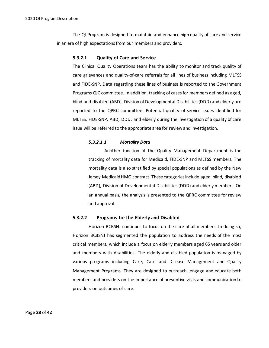<span id="page-27-0"></span>The QI Program is designed to maintain and enhance high quality of care and service in an era of high expectations from our members and providers.

### **5.3.2.1 Quality of Care and Service**

The Clinical Quality Operations team has the ability to monitor and track quality of care grievances and quality-of-care referrals for all lines of business including MLTSS and FIDE-SNP. Data regarding these lines of business is reported to the Government Programs QIC committee. In addition, tracking of cases for members defined as aged, blind and disabled (ABD), Division of Developmental Disabilities (DDD) and elderly are reported to the QPRC committee. Potential quality of service issues identified for MLTSS, FIDE-SNP, ABD, DDD, and elderly during the investigation of a quality of care issue will be referred to the appropriate area for review and investigation.

### <span id="page-27-1"></span>*5.3.2.1.1 Mortality Data*

Another function of the Quality Management Department is the tracking of mortality data for Medicaid, FIDE-SNP and MLTSS members. The mortality data is also stratified by special populations as defined by the New Jersey Medicaid HMO contract. These categories include aged, blind, disabled (ABD), Division of Developmental Disabilities(DDD) and elderly members. On an annual basis, the analysis is presented to the QPRC committee for review and approval.

### <span id="page-27-2"></span>**5.3.2.2 Programs for the Elderly and Disabled**

Horizon BCBSNJ continues to focus on the care of all members. In doing so, Horizon BCBSNJ has segmented the population to address the needs of the most critical members, which include a focus on elderly members aged 65 years and older and members with disabilities. The elderly and disabled population is managed by various programs including Care, Case and Disease Management and Quality Management Programs. They are designed to outreach, engage and educate both members and providers on the importance of preventive visits and communication to providers on outcomes of care.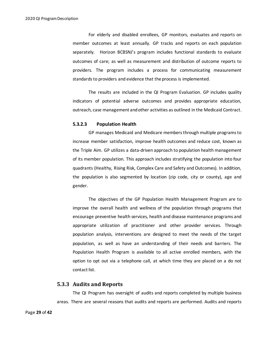For elderly and disabled enrollees, GP monitors, evaluates and reports on member outcomes at least annually. GP tracks and reports on each population separately. Horizon BCBSNJ's program includes functional standards to evaluate outcomes of care; as well as measurement and distribution of outcome reports to providers. The program includes a process for communicating measurement standards to providers and evidence that the process is implemented.

The results are included in the QI Program Evaluation. GP includes quality indicators of potential adverse outcomes and provides appropriate education, outreach, case management and other activities as outlined in the Medicaid Contract.

#### <span id="page-28-0"></span>**5.3.2.3 Population Health**

GP manages Medicaid and Medicare members through multiple programs to increase member satisfaction, improve health outcomes and reduce cost, known as the Triple Aim. GP utilizes a data-driven approach to population health management of its member population. This approach includes stratifying the population into four quadrants (Healthy, Rising Risk, Complex Care and Safety and Outcomes). In addition, the population is also segmented by location (zip code, city or county), age and gender.

The objectives of the GP Population Health Management Program are to improve the overall health and wellness of the population through programs that encourage preventive health services, health and disease maintenance programs and appropriate utilization of practitioner and other provider services. Through population analysis, interventions are designed to meet the needs of the target population, as well as have an understanding of their needs and barriers. The Population Health Program is available to all active enrolled members, with the option to opt out via a telephone call, at which time they are placed on a do not contact list.

### <span id="page-28-1"></span>**5.3.3 Audits and Reports**

The QI Program has oversight of audits and reports completed by multiple business areas. There are several reasons that audits and reports are performed. Audits and reports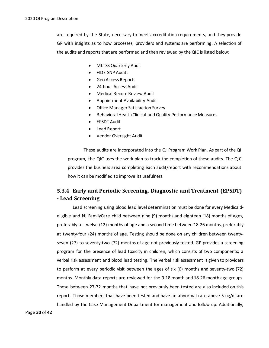are required by the State, necessary to meet accreditation requirements, and they provide GP with insights as to how processes, providers and systems are performing. A selection of the audits and reports that are performed and then reviewed by the QIC is listed below:

- MLTSS Quarterly Audit
- FIDE-SNP Audits
- Geo Access Reports
- 24-hour Access Audit
- Medical Record Review Audit
- Appointment Availability Audit
- Office Manager Satisfaction Survey
- Behavioral Health Clinical and Quality Performance Measures
- EPSDT Audit
- Lead Report
- Vendor Oversight Audit

These audits are incorporated into the QI Program Work Plan. As part of the QI program, the QIC uses the work plan to track the completion of these audits. The QIC provides the business area completing each audit/report with recommendations about how it can be modified to improve its usefulness.

# <span id="page-29-0"></span>**5.3.4 Early and Periodic Screening, Diagnostic and Treatment (EPSDT) - Lead Screening**

Lead screening using blood lead level determination must be done for every Medicaideligible and NJ FamilyCare child between nine (9) months and eighteen (18) months of ages, preferably at twelve (12) months of age and a second time between 18-26 months, preferably at twenty-four (24) months of age. Testing should be done on any children between twentyseven (27) to seventy-two (72) months of age not previously tested. GP provides a screening program for the presence of lead toxicity in children, which consists of two components; a verbal risk assessment and blood lead testing. The verbal risk assessment is given to providers to perform at every periodic visit between the ages of six (6) months and seventy-two (72) months. Monthly data reports are reviewed for the 9-18 month and 18-26 month age groups. Those between 27-72 months that have not previously been tested are also included on this report. Those members that have been tested and have an abnormal rate above 5 ug/dl are handled by the Case Management Department for management and follow up. Additionally,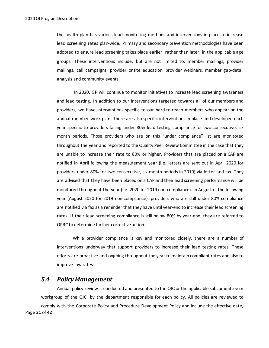the health plan has various lead monitoring methods and interventions in place to increase lead screening rates plan-wide. Primary and secondary prevention methodologies have been adopted to ensure lead screening takes place earlier, rather than later, in the applicable age groups. These interventions include, but are not limited to, member mailings, provider mailings, call campaigns, provider onsite education, provider webinars, member gap-detail analysis and community events.

In 2020, GP will continue to monitor initiatives to increase lead screening awareness and lead testing. In addition to our interventions targeted towards all of our members and providers, we have interventions specific to our hard-to-reach members who appear on the annual member work plan. There are also specific interventions in place and developed each year specific to providers falling under 80% lead testing compliance for two-consecutive, six month periods. Those providers who are on this "under compliance" list are monitored throughout the year and reported to the Quality Peer Review Committee in the case that they are unable to increase their rate to 80% or higher. Providers that are placed on a CAP are notified in April following the measurement year (i.e. letters are sent out in April 2020 for providers under 80% for two consecutive, six month periods in 2019) via letter and fax. They are advised that they have been placed on a CAP and their lead screening performance will be monitored throughout the year (i.e. 2020 for 2019 non-compliance). In August of the following year (August 2020 for 2019 non-compliance), providers who are still under 80% compliance are notified via fax as a reminder that they have until year-end to increase their lead screening rates. If their lead screening compliance is still below 80% by year-end, they are referred to QPRC to determine further corrective action.

While provider compliance is key and monitored closely, there are a number of interventions underway that support providers to increase their lead testing rates. These efforts are proactive and ongoing throughout the year to maintain compliant rates and also to improve low rates.

## *5.4 Policy Management*

<span id="page-30-0"></span>Page **31** of **42** Annual policy review is conducted and presented to the QIC or the applicable subcommittee or workgroup of the QIC, by the department responsible for each policy. All policies are reviewed to comply with the Corporate Policy and Procedure Development Policy and include the effective date,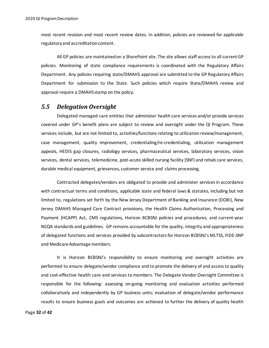most recent revision and most recent review dates. In addition, policies are reviewed for applicable regulatory and accreditation content.

All GP policies are maintained on a SharePoint site. The site allows staff access to all current GP policies. Monitoring of state compliance requirements is coordinated with the Regulatory Affairs Department. Any policies requiring state/DMAHS approval are submitted to the GP Regulatory Affairs Department for submission to the State. Such policies which require State/DMAHS review and approval require a DMAHS stamp on the policy*.* 

## <span id="page-31-0"></span>*5.5 Delegation Oversight*

Delegated managed care entities that administer health care services and/or provide services covered under GP's benefit plans are subject to review and oversight under the QI Program. These services include, but are not limited to, activities/functions relating to utilization review/management, case management, quality improvement, credentialing/re-credentialing, utilization management appeals, HEDIS gap closures, radiology services, pharmaceutical services, laboratory services, vision services, dental services, telemedicine, post-acute skilled nursing facility (SNF) and rehab care services, durable medical equipment, grievances, customer service and claims processing.

Contracted delegates/vendors are obligated to provide and administer services in accordance with contractual terms and conditions, applicable state and federal laws & statutes, including but not limited to, regulations set forth by the New Jersey Department of Banking and Insurance (DOBI), New Jersey DMAHS Managed Care Contract provisions, the Health Claims Authorization, Processing and Payment (HCAPP) Act, CMS regulations, Horizon BCBSNJ policies and procedures, and current-year NCQA standards and guidelines. GP remains accountable for the quality, integrity and appropriateness of delegated functions and services provided by subcontractors for Horizon BCBSNJ's MLTSS, FIDE-SNP and Medicare Advantage members.

It is Horizon BCBSNJ's responsibility to ensure monitoring and oversight activities are performed to ensure delegate/vendor compliance and to promote the delivery of and access to quality and cost-effective health care and services to members. The Delegate Vendor Oversight Committee is responsible for the following: assessing on-going monitoring and evaluation activities performed collaboratively and independently by GP business units; evaluation of delegate/vendor performance results to ensure business goals and outcomes are achieved to further the delivery of quality health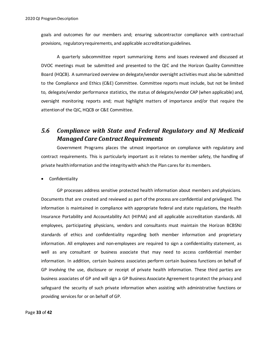goals and outcomes for our members and; ensuring subcontractor compliance with contractual provisions, regulatory requirements, and applicable accreditation guidelines.

A quarterly subcommittee report summarizing items and issues reviewed and discussed at DVOC meetings must be submitted and presented to the QIC and the Horizon Quality Committee Board (HQCB). A summarized overview on delegate/vendor oversight activities must also be submitted to the Compliance and Ethics (C&E) Committee. Committee reports must include, but not be limited to, delegate/vendor performance statistics, the status of delegate/vendor CAP (when applicable) and, oversight monitoring reports and; must highlight matters of importance and/or that require the attention of the QIC, HQCB or C&E Committee.

# <span id="page-32-0"></span>*5.6 Compliance with State and Federal Regulatory and NJ Medicaid Managed Care Contract Requirements*

Government Programs places the utmost importance on compliance with regulatory and contract requirements. This is particularly important as it relates to member safety, the handling of private health information and the integrity with which the Plan cares for its members.

• Confidentiality

GP processes address sensitive protected health information about members and physicians. Documents that are created and reviewed as part of the process are confidential and privileged. The information is maintained in compliance with appropriate federal and state regulations, the Health Insurance Portability and Accountability Act (HIPAA) and all applicable accreditation standards. All employees, participating physicians, vendors and consultants must maintain the Horizon BCBSNJ standards of ethics and confidentiality regarding both member information and proprietary information. All employees and non-employees are required to sign a confidentiality statement, as well as any consultant or business associate that may need to access confidential member information. In addition, certain business associates perform certain business functions on behalf of GP involving the use, disclosure or receipt of private health information. These third parties are business associates of GP and will sign a GP Business Associate Agreement to protect the privacy and safeguard the security of such private information when assisting with administrative functions or providing services for or on behalf of GP.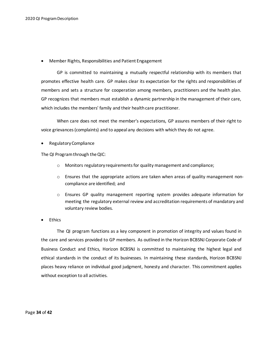• Member Rights, Responsibilities and Patient Engagement

GP is committed to maintaining a mutually respectful relationship with its members that promotes effective health care. GP makes clear its expectation for the rights and responsibilities of members and sets a structure for cooperation among members, practitioners and the health plan. GP recognizes that members must establish a dynamic partnership in the management of their care, which includes the members' family and their health care practitioner.

When care does not meet the member's expectations, GP assures members of their right to voice grievances(complaints) and to appeal any decisions with which they do not agree.

• Regulatory Compliance

The QI Program through the QIC:

- o Monitors regulatory requirements for quality management and compliance;
- $\circ$  Ensures that the appropriate actions are taken when areas of quality management noncompliance are identified; and
- o Ensures GP quality management reporting system provides adequate information for meeting the regulatory external review and accreditation requirements of mandatory and voluntary review bodies.
- **Ethics**

The QI program functions as a key component in promotion of integrity and values found in the care and services provided to GP members. As outlined in the Horizon BCBSNJ Corporate Code of Business Conduct and Ethics, Horizon BCBSNJ is committed to maintaining the highest legal and ethical standards in the conduct of its businesses. In maintaining these standards, Horizon BCBSNJ places heavy reliance on individual good judgment, honesty and character. This commitment applies without exception to all activities.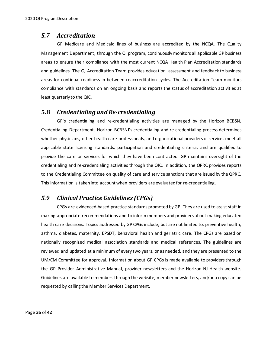## <span id="page-34-0"></span>*5.7 Accreditation*

GP Medicare and Medicaid lines of business are accredited by the NCQA. The Quality Management Department, through the QI program, continuously monitors all applicable GP business areas to ensure their compliance with the most current NCQA Health Plan Accreditation standards and guidelines. The QI Accreditation Team provides education, assessment and feedback to business areas for continual readiness in between reaccreditation cycles. The Accreditation Team monitors compliance with standards on an ongoing basis and reports the status of accreditation activities at least quarterly to the QIC.

## <span id="page-34-1"></span>**5.8** *Credentialing and Re-credentialing*

GP's credentialing and re-credentialing activities are managed by the Horizon BCBSNJ Credentialing Department. Horizon BCBSNJ's credentialing and re-credentialing process determines whether physicians, other health care professionals, and organizational providers of services meet all applicable state licensing standards, participation and credentialing criteria, and are qualified to provide the care or services for which they have been contracted. GP maintains oversight of the credentialing and re-credentialing activities through the QIC. In addition, the QPRC provides reports to the Credentialing Committee on quality of care and service sanctions that are issued by the QPRC. This information is taken into account when providers are evaluated for re-credentialing.

# <span id="page-34-2"></span>*5.9 Clinical Practice Guidelines (CPGs)*

CPGs are evidenced-based practice standards promoted by GP. They are used to assist staff in making appropriate recommendations and to inform members and providers about making educated health care decisions. Topics addressed by GP CPGs include, but are not limited to, preventive health, asthma, diabetes, maternity, EPSDT, behavioral health and geriatric care. The CPGs are based on nationally recognized medical association standards and medical references. The guidelines are reviewed and updated at a minimum of every two years, or as needed, and they are presented to the UM/CM Committee for approval. Information about GP CPGs is made available to providers through the GP Provider Administrative Manual, provider newsletters and the Horizon NJ Health website. Guidelines are available to members through the website, member newsletters, and/or a copy can be requested by calling the Member Services Department.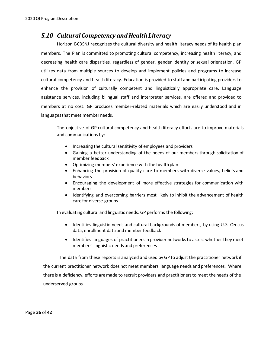# <span id="page-35-0"></span>*5.10 Cultural Competency and Health Literacy*

Horizon BCBSNJ recognizes the cultural diversity and health literacy needs of its health plan members. The Plan is committed to promoting cultural competency, increasing health literacy, and decreasing health care disparities, regardless of gender, gender identity or sexual orientation. GP utilizes data from multiple sources to develop and implement policies and programs to increase cultural competency and health literacy. Education is provided to staff and participating providers to enhance the provision of culturally competent and linguistically appropriate care. Language assistance services, including bilingual staff and interpreter services, are offered and provided to members at no cost. GP produces member-related materials which are easily understood and in languages that meet member needs.

The objective of GP cultural competency and health literacy efforts are to improve materials and communications by:

- Increasing the cultural sensitivity of employees and providers
- Gaining a better understanding of the needs of our members through solicitation of member feedback
- Optimizing members' experience with the health plan
- Enhancing the provision of quality care to members with diverse values, beliefs and behaviors
- Encouraging the development of more effective strategies for communication with members
- Identifying and overcoming barriers most likely to inhibit the advancement of health care for diverse groups

In evaluating cultural and linguistic needs, GP performs the following:

- Identifies linguistic needs and cultural backgrounds of members, by using U.S. Census data, enrollment data and member feedback
- Identifies languages of practitioners in provider networks to assess whether they meet members' linguistic needs and preferences

The data from these reports is analyzed and used by GP to adjust the practitioner network if the current practitioner network does not meet members' language needs and preferences. Where there is a deficiency, efforts are made to recruit providers and practitioners to meet the needs of the underserved groups.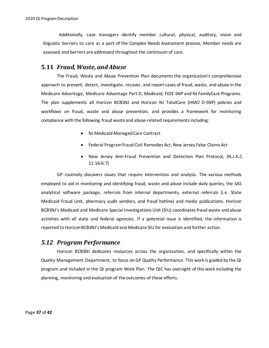Additionally, case managers identify member cultural, physical, auditory, vision and linguistic barriers to care as a part of the Complex Needs Assessment process. Member needs are assessed and barriers are addressed throughout the continuum of care.

## <span id="page-36-0"></span>**5.11** *Fraud, Waste, and Abuse*

The Fraud, Waste and Abuse Prevention Plan documents the organization's comprehensive approach to prevent, detect, investigate, recover, and report cases of fraud, waste, and abuse in the Medicare Advantage, Medicare Advantage Part D, Medicaid, FIDE-SNP and NJ FamilyCare Programs. The plan supplements all Horizon BCBSNJ and Horizon NJ TotalCare (HMO D-SNP) policies and workflows on fraud, waste and abuse prevention, and provides a framework for monitoring compliance with the following fraud waste and abuse-related requirements including:

- NJ Medicaid Managed Care Contract
- Federal Program Fraud Civil Remedies Act, New Jersey False Claims Act
- New Jersey Anti-Fraud Prevention and Detection Plan Protocol, (N.J.A.C. 11:16-6.7)

GP routinely discovers issues that require intervention and analysis. The various methods employed to aid in monitoring and identifying fraud, waste and abuse include daily queries, the SAS analytical software package, referrals from internal departments, external referrals (i.e. State Medicaid Fraud Unit, pharmacy audit vendors, and fraud hotline) and media publications. Horizon BCBSNJ's Medicaid and Medicare Special Investigations Unit (SIU) coordinates fraud waste and abuse activities with all state and federal agencies. If a potential issue is identified, the information is reported to Horizon BCBSNJ's Medicaid and Medicare SIU for evaluation and further action.

## <span id="page-36-1"></span>*5.12 Program Performance*

Horizon BCBSNJ dedicates resources across the organization, and specifically within the Quality Management Department, to focus on GP Quality Performance. This work is guided by the QI program and included in the QI program Work Plan. The QIC has oversight of this work including the planning, monitoring and evaluation of the outcomes of these efforts.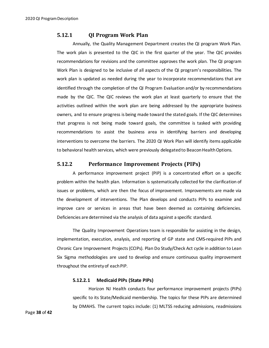### <span id="page-37-0"></span>**5.12.1 QI Program Work Plan**

Annually, the Quality Management Department creates the QI program Work Plan. The work plan is presented to the QIC in the first quarter of the year. The QIC provides recommendations for revisions and the committee approves the work plan. The QI program Work Plan is designed to be inclusive of all aspects of the QI program's responsibilities. The work plan is updated as needed during the year to incorporate recommendations that are identified through the completion of the QI Program Evaluation and/or by recommendations made by the QIC. The QIC reviews the work plan at least quarterly to ensure that the activities outlined within the work plan are being addressed by the appropriate business owners, and to ensure progress is being made toward the stated goals. If the QIC determines that progress is not being made toward goals, the committee is tasked with providing recommendations to assist the business area in identifying barriers and developing interventions to overcome the barriers. The 2020 QI Work Plan will identify items applicable to behavioral health services, which were previously delegated to Beacon Health Options.

### <span id="page-37-1"></span>**5.12.2 Performance Improvement Projects (PIPs)**

A performance improvement project (PIP) is a concentrated effort on a specific problem within the health plan. Information is systematically collected for the clarification of issues or problems, which are then the focus of improvement. Improvements are made via the development of interventions. The Plan develops and conducts PIPs to examine and improve care or services in areas that have been deemed as containing deficiencies. Deficiencies are determined via the analysis of data against a specific standard.

The Quality Improvement Operations team is responsible for assisting in the design, implementation, execution, analysis, and reporting of GP state and CMS-required PIPs and Chronic Care Improvement Projects (CCIPs). Plan Do Study/Check Act cycle in addition to Lean Six Sigma methodologies are used to develop and ensure continuous quality improvement throughout the entirety of each PIP.

### <span id="page-37-2"></span>**5.12.2.1 Medicaid PIPs (State PIPs)**

Horizon NJ Health conducts four performance improvement projects (PIPs) specific to its State/Medicaid membership. The topics for these PIPs are determined by DMAHS. The current topics include: (1) MLTSS reducing admissions, readmissions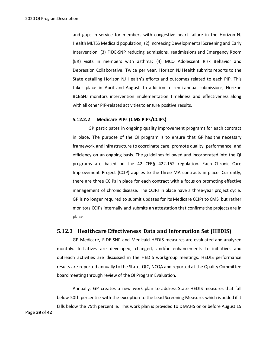and gaps in service for members with congestive heart failure in the Horizon NJ Health MLTSS Medicaid population; (2) Increasing Developmental Screening and Early Intervention; (3) FIDE-SNP reducing admissions, readmissions and Emergency Room (ER) visits in members with asthma; (4) MCO Adolescent Risk Behavior and Depression Collaborative. Twice per year, Horizon NJ Health submits reports to the State detailing Horizon NJ Health's efforts and outcomes related to each PIP. This takes place in April and August. In addition to semi-annual submissions, Horizon BCBSNJ monitors intervention implementation timeliness and effectiveness along with all other PIP-related activities to ensure positive results.

#### <span id="page-38-0"></span>**5.12.2.2 Medicare PIPs (CMS PIPs/CCIPs)**

GP participates in ongoing quality improvement programs for each contract in place. The purpose of the QI program is to ensure that GP has the necessary framework and infrastructure to coordinate care, promote quality, performance, and efficiency on an ongoing basis. The guidelines followed and incorporated into the QI programs are based on the 42 CFR§ 422.152 regulation. Each Chronic Care Improvement Project (CCIP) applies to the three MA contracts in place. Currently, there are three CCIPs in place for each contract with a focus on promoting effective management of chronic disease. The CCIPs in place have a three-year project cycle. GP is no longer required to submit updates for its Medicare CCIPs to CMS, but rather monitors CCIPs internally and submits an attestation that confirms the projects are in place.

### <span id="page-38-1"></span>**5.12.3 Healthcare Effectiveness Data and Information Set (HEDIS)**

GP Medicare, FIDE-SNP and Medicaid HEDIS measures are evaluated and analyzed monthly. Initiatives are developed, changed, and/or enhancements to initiatives and outreach activities are discussed in the HEDIS workgroup meetings. HEDIS performance results are reported annually to the State, QIC, NCQA and reported at the Quality Committee board meeting through review of the QI Program Evaluation.

Annually, GP creates a new work plan to address State HEDIS measures that fall below 50th percentile with the exception to the Lead Screening Measure, which is added if it falls below the 75th percentile. This work plan is provided to DMAHS on or before August 15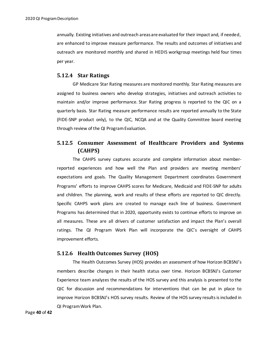annually. Existing initiatives and outreach areas are evaluated for their impact and, if needed, are enhanced to improve measure performance. The results and outcomes of initiatives and outreach are monitored monthly and shared in HEDIS workgroup meetings held four times per year.

### <span id="page-39-0"></span>**5.12.4 Star Ratings**

GP Medicare Star Rating measures are monitored monthly. Star Rating measures are assigned to business owners who develop strategies, initiatives and outreach activities to maintain and/or improve performance. Star Rating progress is reported to the QIC on a quarterly basis. Star Rating measure performance results are reported annually to the State (FIDE-SNP product only), to the QIC, NCQA and at the Quality Committee board meeting through review of the QI Program Evaluation.

# <span id="page-39-1"></span>**5.12.5 Consumer Assessment of Healthcare Providers and Systems (CAHPS)**

The CAHPS survey captures accurate and complete information about memberreported experiences and how well the Plan and providers are meeting members' expectations and goals. The Quality Management Department coordinates Government Programs' efforts to improve CAHPS scores for Medicare, Medicaid and FIDE-SNP for adults and children. The planning, work and results of these efforts are reported to QIC directly. Specific CAHPS work plans are created to manage each line of business. Government Programs has determined that in 2020, opportunity exists to continue efforts to improve on all measures. These are all drivers of customer satisfaction and impact the Plan's overall ratings. The QI Program Work Plan will incorporate the QIC's oversight of CAHPS improvement efforts.

## <span id="page-39-2"></span>**5.12.6 Health Outcomes Survey (HOS)**

The Health Outcomes Survey (HOS) provides an assessment of how Horizon BCBSNJ's members describe changes in their health status over time. Horizon BCBSNJ's Customer Experience team analyzes the results of the HOS survey and this analysis is presented to the QIC for discussion and recommendations for interventions that can be put in place to improve Horizon BCBSNJ's HOS survey results. Review of the HOS survey results is included in QI Program Work Plan.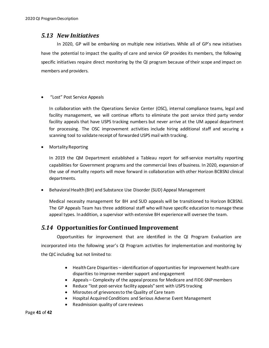## <span id="page-40-0"></span>*5.13 New Initiatives*

In 2020, GP will be embarking on multiple new initiatives. While all of GP's new initiatives have the potential to impact the quality of care and service GP provides its members, the following specific initiatives require direct monitoring by the QI program because of their scope and impact on members and providers.

• "Lost" Post Service Appeals

In collaboration with the Operations Service Center (OSC), internal compliance teams, legal and facility management, we will continue efforts to eliminate the post service third party vendor facility appeals that have USPS tracking numbers but never arrive at the UM appeal department for processing. The OSC improvement activities include hiring additional staff and securing a scanning tool to validate receipt of forwarded USPS mail with tracking.

• Mortality Reporting

In 2019 the QM Department established a Tableau report for self-service mortality reporting capabilities for Government programs and the commercial lines of business. In 2020, expansion of the use of mortality reports will move forward in collaboration with other Horizon BCBSNJ clinical departments.

• Behavioral Health (BH) and Substance Use Disorder (SUD) Appeal Management

Medical necessity management for BH and SUD appeals will be transitioned to Horizon BCBSNJ. The GP Appeals Team has three additional staff who will have specific education to manage these appeal types. In addition, a supervisor with extensive BH experience will oversee the team.

# <span id="page-40-1"></span>*5.14* **Opportunities for Continued Improvement**

Opportunities for improvement that are identified in the QI Program Evaluation are incorporated into the following year's QI Program activities for implementation and monitoring by the QIC including but not limited to:

- Health Care Disparities identification of opportunities for improvement health care disparities to improve member support and engagement
- Appeals Complexity of the appeal process for Medicare and FIDE-SNP members
- Reduce "lost post-service facility appeals" sent with USPS tracking
- Misroutes of grievances to the Quality of Care team
- Hospital Acquired Conditions and Serious Adverse Event Management
- Readmission quality of care reviews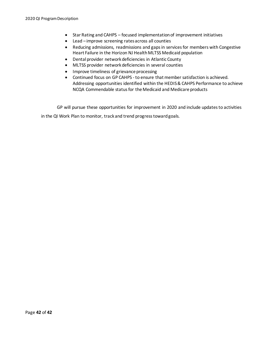- Star Rating and CAHPS focused implementation of improvement initiatives
- Lead improve screening rates across all counties
- Reducing admissions, readmissions and gaps in services for members with Congestive Heart Failure in the Horizon NJ Health MLTSS Medicaid population
- Dental provider network deficiencies in Atlantic County
- MLTSS provider network deficiencies in several counties
- Improve timeliness of grievance processing
- Continued focus on GP CAHPS to ensure that member satisfaction is achieved. Addressing opportunities identified within the HEDIS & CAHPS Performance to achieve NCQA Commendable status for the Medicaid and Medicare products

GP will pursue these opportunities for improvement in 2020 and include updates to activities in the QI Work Plan to monitor, track and trend progress toward goals.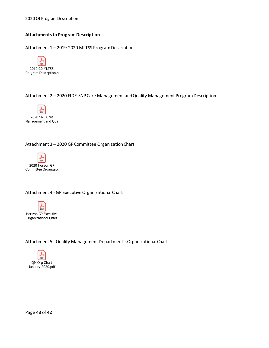2020 QI Program Description

### **Attachments to Program Description**

Attachment 1 – 2019-2020 MLTSS Program Description



Attachment 2 – 2020 FIDE-SNP Care Management and Quality Management Program Description



Attachment 3 – 2020 GP Committee Organization Chart



Attachment 4 - GP Executive Organizational Chart



Attachment 5 - Quality Management Department's Organizational Chart



Page **43** of **42**